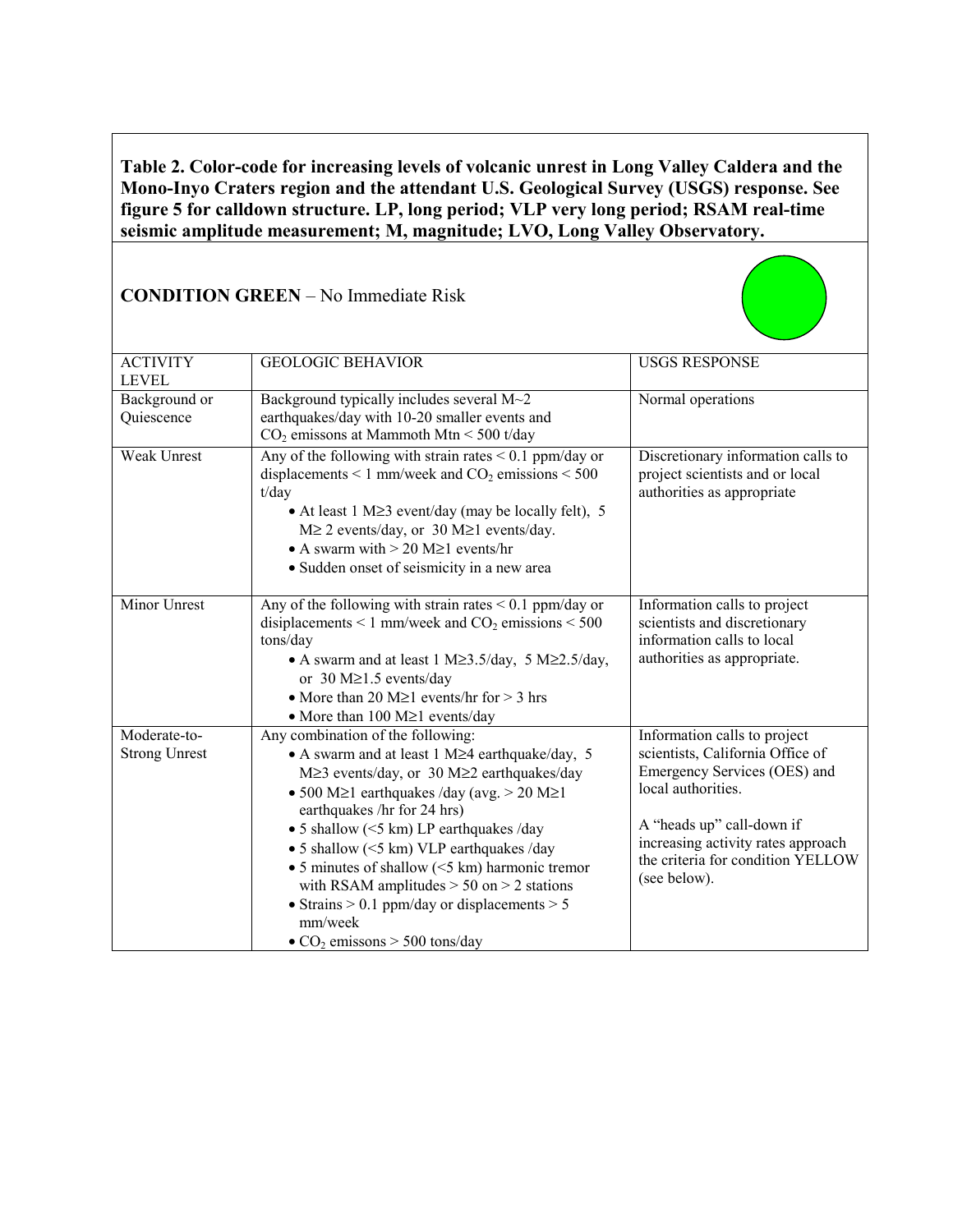**Table 2. Color-code for increasing levels of volcanic unrest in Long Valley Caldera and the Mono-Inyo Craters region and the attendant U.S. Geological Survey (USGS) response. See figure 5 for calldown structure. LP, long period; VLP very long period; RSAM real-time seismic amplitude measurement; M, magnitude; LVO, Long Valley Observatory.**

| <b>ACTIVITY</b><br><b>LEVEL</b>      | <b>GEOLOGIC BEHAVIOR</b>                                                                                                                                                                                                                                                                                                                                                                                                                                                                                                                          | <b>USGS RESPONSE</b>                                                                                                                                                                                                                           |
|--------------------------------------|---------------------------------------------------------------------------------------------------------------------------------------------------------------------------------------------------------------------------------------------------------------------------------------------------------------------------------------------------------------------------------------------------------------------------------------------------------------------------------------------------------------------------------------------------|------------------------------------------------------------------------------------------------------------------------------------------------------------------------------------------------------------------------------------------------|
| Background or<br>Quiescence          | Background typically includes several M~2<br>earthquakes/day with 10-20 smaller events and<br>$CO2$ emissons at Mammoth Mtn < 500 t/day                                                                                                                                                                                                                                                                                                                                                                                                           | Normal operations                                                                                                                                                                                                                              |
| Weak Unrest                          | Any of the following with strain rates $< 0.1$ ppm/day or<br>displacements < 1 mm/week and $CO2$ emissions < 500<br>t/day<br>• At least 1 M $\geq$ 3 event/day (may be locally felt), 5<br>$M \ge 2$ events/day, or 30 M $\ge 1$ events/day.<br>• A swarm with $> 20$ M $\geq$ 1 events/hr<br>• Sudden onset of seismicity in a new area                                                                                                                                                                                                          | Discretionary information calls to<br>project scientists and or local<br>authorities as appropriate                                                                                                                                            |
| <b>Minor Unrest</b>                  | Any of the following with strain rates $< 0.1$ ppm/day or<br>disiplacements < 1 mm/week and $CO2$ emissions < 500<br>tons/day<br>• A swarm and at least 1 M $\geq$ 3.5/day, 5 M $\geq$ 2.5/day,<br>or $30 M \ge 1.5$ events/day<br>• More than 20 M $\geq$ 1 events/hr for $>$ 3 hrs<br>• More than 100 $M \ge 1$ events/day                                                                                                                                                                                                                      | Information calls to project<br>scientists and discretionary<br>information calls to local<br>authorities as appropriate.                                                                                                                      |
| Moderate-to-<br><b>Strong Unrest</b> | Any combination of the following:<br>• A swarm and at least 1 M≥4 earthquake/day, 5<br>M≥3 events/day, or 30 M≥2 earthquakes/day<br>• 500 M $\geq$ 1 earthquakes /day (avg. > 20 M $\geq$ 1<br>earthquakes /hr for 24 hrs)<br>• 5 shallow $(<$ 5 km) LP earthquakes /day<br>• 5 shallow $(<$ 5 km) VLP earthquakes /day<br>• 5 minutes of shallow $(<$ 5 km) harmonic tremor<br>with RSAM amplitudes $> 50$ on $> 2$ stations<br>• Strains $> 0.1$ ppm/day or displacements $> 5$<br>mm/week<br>$\bullet$ CO <sub>2</sub> emissons > 500 tons/day | Information calls to project<br>scientists, California Office of<br>Emergency Services (OES) and<br>local authorities.<br>A "heads up" call-down if<br>increasing activity rates approach<br>the criteria for condition YELLOW<br>(see below). |

## **CONDITION GREEN** – No Immediate Risk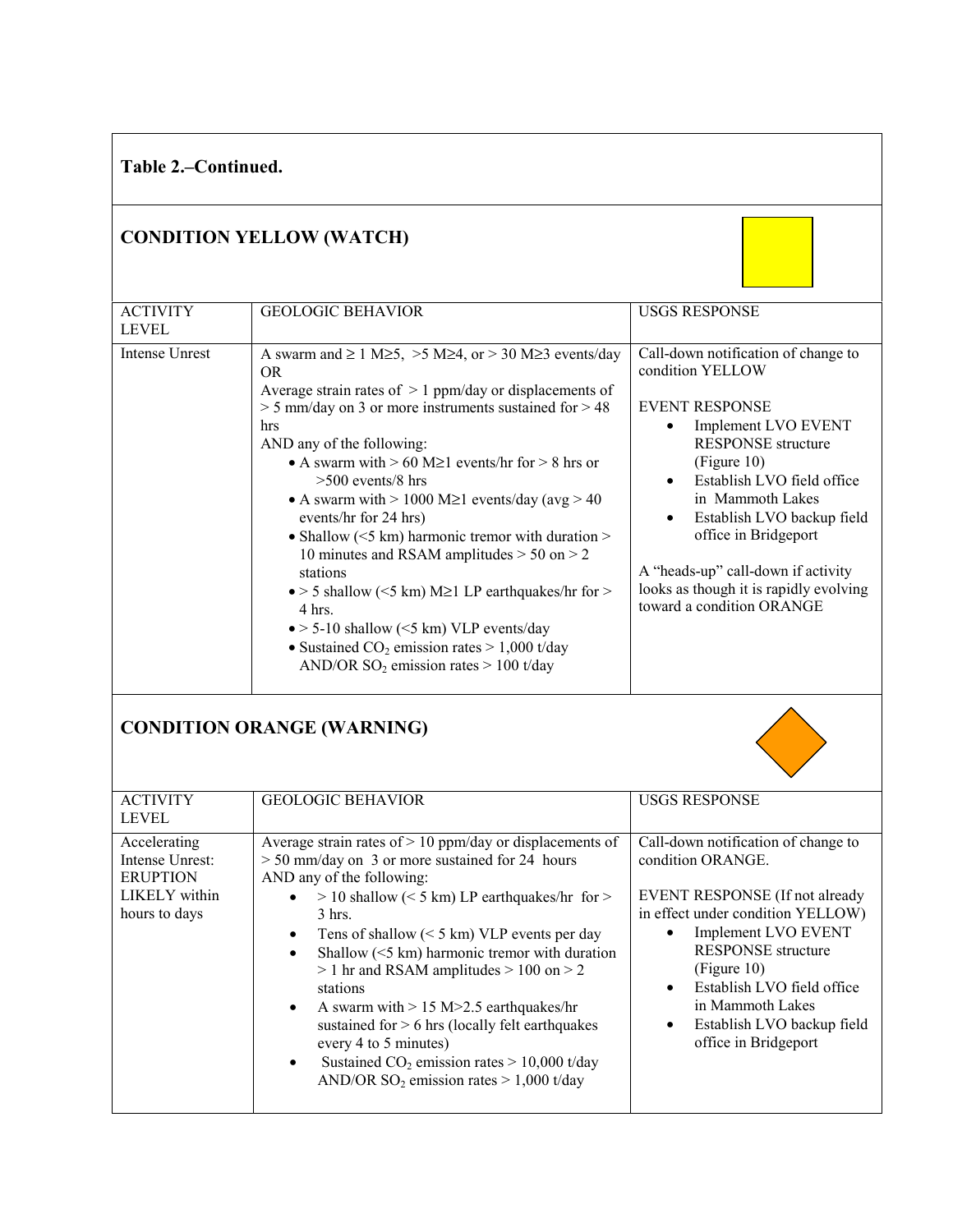| Table 2.–Continued.                                                                  |                                                                                                                                                                                                                                                                                                                                                                                                                                                                                                                                                                                                                                                                                                                                                                                              |                                                                                                                                                                                                                                                                                                                                                                                       |  |  |
|--------------------------------------------------------------------------------------|----------------------------------------------------------------------------------------------------------------------------------------------------------------------------------------------------------------------------------------------------------------------------------------------------------------------------------------------------------------------------------------------------------------------------------------------------------------------------------------------------------------------------------------------------------------------------------------------------------------------------------------------------------------------------------------------------------------------------------------------------------------------------------------------|---------------------------------------------------------------------------------------------------------------------------------------------------------------------------------------------------------------------------------------------------------------------------------------------------------------------------------------------------------------------------------------|--|--|
| <b>CONDITION YELLOW (WATCH)</b>                                                      |                                                                                                                                                                                                                                                                                                                                                                                                                                                                                                                                                                                                                                                                                                                                                                                              |                                                                                                                                                                                                                                                                                                                                                                                       |  |  |
| <b>ACTIVITY</b><br><b>LEVEL</b>                                                      | <b>GEOLOGIC BEHAVIOR</b>                                                                                                                                                                                                                                                                                                                                                                                                                                                                                                                                                                                                                                                                                                                                                                     | <b>USGS RESPONSE</b>                                                                                                                                                                                                                                                                                                                                                                  |  |  |
| <b>Intense Unrest</b>                                                                | A swarm and $\geq 1$ M $\geq$ 5, $>$ 5 M $\geq$ 4, or $>$ 30 M $\geq$ 3 events/day<br>OR.<br>Average strain rates of $> 1$ ppm/day or displacements of<br>$>$ 5 mm/day on 3 or more instruments sustained for $>$ 48<br>hrs<br>AND any of the following:<br>• A swarm with $> 60$ M $\geq 1$ events/hr for $> 8$ hrs or<br>$>500$ events/8 hrs<br>• A swarm with $> 1000$ M $\geq$ 1 events/day (avg $> 40$<br>events/hr for 24 hrs)<br>• Shallow ( $\leq$ 5 km) harmonic tremor with duration $>$<br>10 minutes and RSAM amplitudes > 50 on > 2<br>stations<br>$\bullet$ > 5 shallow (<5 km) M $\geq$ 1 LP earthquakes/hr for ><br>4 hrs.<br>$\bullet$ > 5-10 shallow (<5 km) VLP events/day<br>• Sustained $CO_2$ emission rates > 1,000 t/day<br>AND/OR $SO_2$ emission rates > 100 t/day | Call-down notification of change to<br>condition YELLOW<br><b>EVENT RESPONSE</b><br>Implement LVO EVENT<br>$\bullet$<br><b>RESPONSE</b> structure<br>(Figure 10)<br>Establish LVO field office<br>in Mammoth Lakes<br>Establish LVO backup field<br>office in Bridgeport<br>A "heads-up" call-down if activity<br>looks as though it is rapidly evolving<br>toward a condition ORANGE |  |  |
| <b>CONDITION ORANGE (WARNING)</b>                                                    |                                                                                                                                                                                                                                                                                                                                                                                                                                                                                                                                                                                                                                                                                                                                                                                              |                                                                                                                                                                                                                                                                                                                                                                                       |  |  |
| <b>ACTIVITY</b><br><b>LEVEL</b>                                                      | <b>GEOLOGIC BEHAVIOR</b>                                                                                                                                                                                                                                                                                                                                                                                                                                                                                                                                                                                                                                                                                                                                                                     | <b>USGS RESPONSE</b>                                                                                                                                                                                                                                                                                                                                                                  |  |  |
| Accelerating<br>Intense Unrest:<br><b>ERUPTION</b><br>LIKELY within<br>hours to days | Average strain rates of $> 10$ ppm/day or displacements of<br>$> 50$ mm/day on 3 or more sustained for 24 hours<br>AND any of the following:<br>> 10 shallow (< 5 km) LP earthquakes/hr for ><br>3 hrs.<br>Tens of shallow $(< 5 \text{ km})$ VLP events per day<br>$\bullet$<br>Shallow $(<5$ km) harmonic tremor with duration<br>$\bullet$<br>$> 1$ hr and RSAM amplitudes $> 100$ on $> 2$<br>stations<br>A swarm with $> 15$ M $> 2.5$ earthquakes/hr<br>$\bullet$<br>sustained for $> 6$ hrs (locally felt earthquakes<br>every 4 to 5 minutes)<br>Sustained $CO2$ emission rates > 10,000 t/day<br>$\bullet$<br>AND/OR SO <sub>2</sub> emission rates $> 1,000$ t/day                                                                                                                 | Call-down notification of change to<br>condition ORANGE.<br>EVENT RESPONSE (If not already<br>in effect under condition YELLOW)<br>Implement LVO EVENT<br>$\bullet$<br><b>RESPONSE</b> structure<br>(Figure 10)<br>Establish LVO field office<br>$\bullet$<br>in Mammoth Lakes<br>Establish LVO backup field<br>$\bullet$<br>office in Bridgeport                                     |  |  |